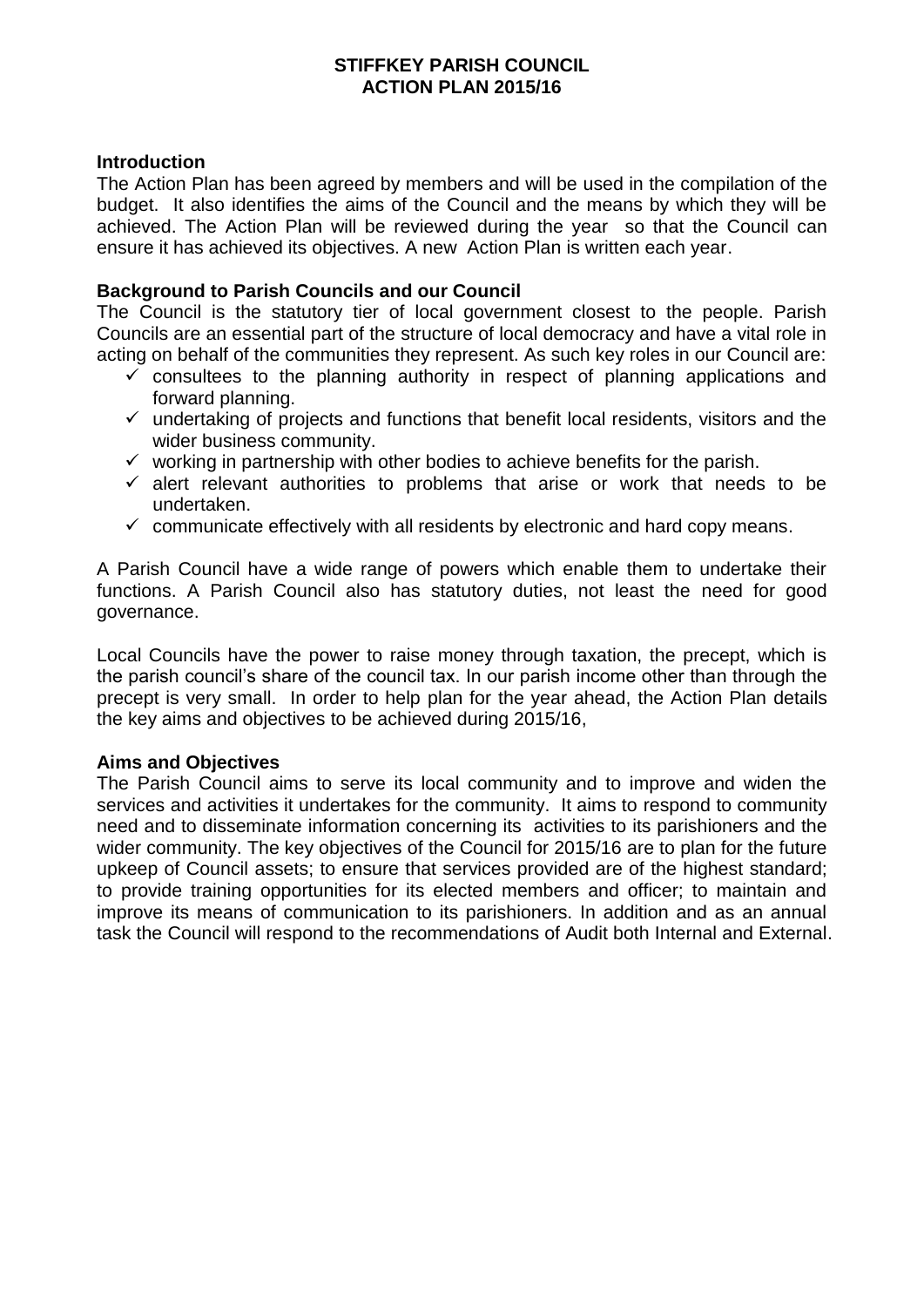## **STIFFKEY PARISH COUNCIL ACTION PLAN 2015/16**

#### **Introduction**

The Action Plan has been agreed by members and will be used in the compilation of the budget. It also identifies the aims of the Council and the means by which they will be achieved. The Action Plan will be reviewed during the year so that the Council can ensure it has achieved its objectives. A new Action Plan is written each year.

## **Background to Parish Councils and our Council**

The Council is the statutory tier of local government closest to the people. Parish Councils are an essential part of the structure of local democracy and have a vital role in acting on behalf of the communities they represent. As such key roles in our Council are:

- $\checkmark$  consultees to the planning authority in respect of planning applications and forward planning.
- $\checkmark$  undertaking of projects and functions that benefit local residents, visitors and the wider business community.
- $\checkmark$  working in partnership with other bodies to achieve benefits for the parish.
- $\checkmark$  alert relevant authorities to problems that arise or work that needs to be undertaken.
- $\checkmark$  communicate effectively with all residents by electronic and hard copy means.

A Parish Council have a wide range of powers which enable them to undertake their functions. A Parish Council also has statutory duties, not least the need for good governance.

Local Councils have the power to raise money through taxation, the precept, which is the parish council's share of the council tax. In our parish income other than through the precept is very small. In order to help plan for the year ahead, the Action Plan details the key aims and objectives to be achieved during 2015/16,

## **Aims and Objectives**

The Parish Council aims to serve its local community and to improve and widen the services and activities it undertakes for the community. It aims to respond to community need and to disseminate information concerning its activities to its parishioners and the wider community. The key objectives of the Council for 2015/16 are to plan for the future upkeep of Council assets; to ensure that services provided are of the highest standard; to provide training opportunities for its elected members and officer; to maintain and improve its means of communication to its parishioners. In addition and as an annual task the Council will respond to the recommendations of Audit both Internal and External.